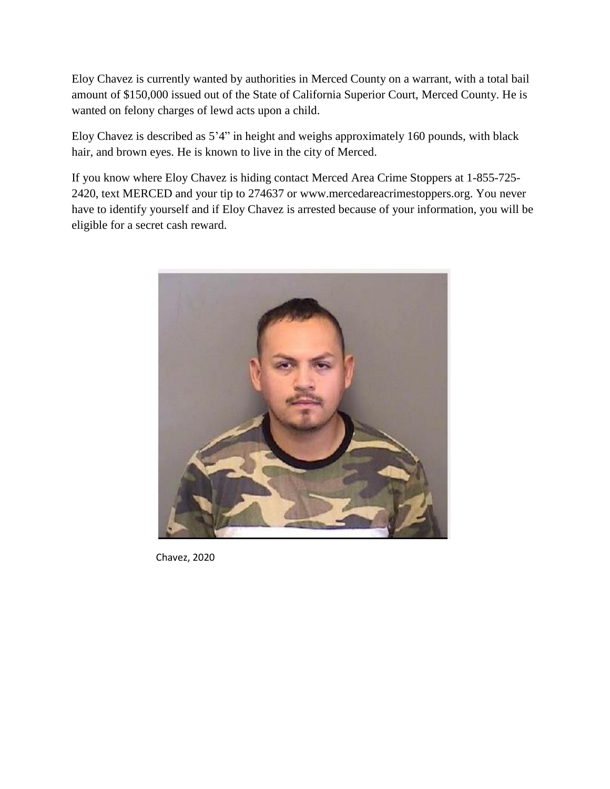Eloy Chavez is currently wanted by authorities in Merced County on a warrant, with a total bail amount of \$150,000 issued out of the State of California Superior Court, Merced County. He is wanted on felony charges of lewd acts upon a child.

Eloy Chavez is described as 5'4" in height and weighs approximately 160 pounds, with black hair, and brown eyes. He is known to live in the city of Merced.

If you know where Eloy Chavez is hiding contact Merced Area Crime Stoppers at 1-855-725- 2420, text MERCED and your tip to 274637 or www.mercedareacrimestoppers.org. You never have to identify yourself and if Eloy Chavez is arrested because of your information, you will be eligible for a secret cash reward.



Chavez, 2020